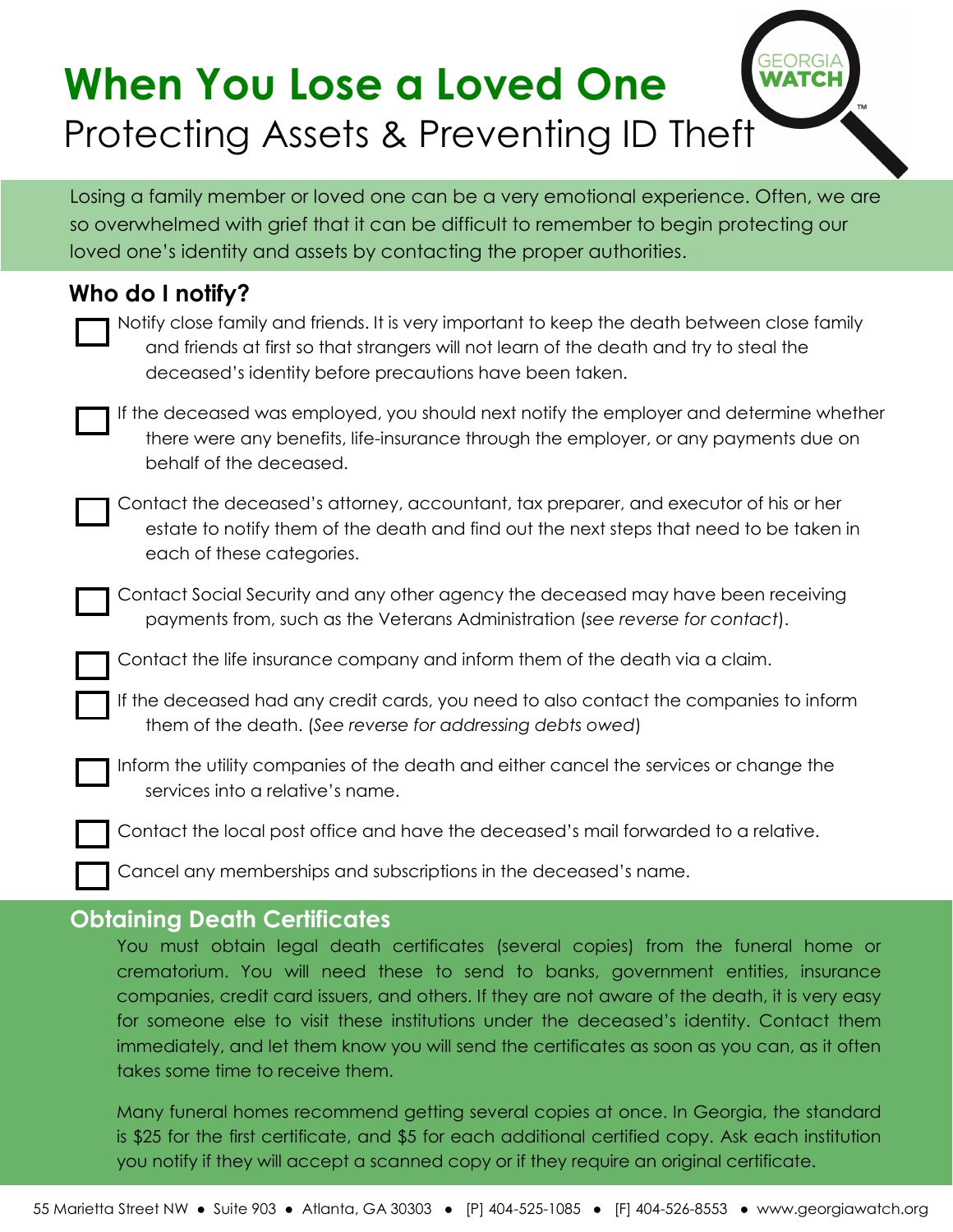# **When You Lose a Loved One WATCH** Protecting Assets & Preventing ID Theft

Losing a family member or loved one can be a very emotional experience. Often, we are so overwhelmed with grief that it can be difficult to remember to begin protecting our loved one's identity and assets by contacting the proper authorities.

| Who do I notify? |                                                                                                                                                                                                                                                    |
|------------------|----------------------------------------------------------------------------------------------------------------------------------------------------------------------------------------------------------------------------------------------------|
|                  | Notify close family and friends. It is very important to keep the death between close family<br>and friends at first so that strangers will not learn of the death and try to steal the<br>deceased's identity before precautions have been taken. |
|                  | If the deceased was employed, you should next notify the employer and determine whether<br>there were any benefits, life-insurance through the employer, or any payments due on<br>behalf of the deceased.                                         |
|                  | Contact the deceased's attorney, accountant, tax preparer, and executor of his or her<br>estate to notify them of the death and find out the next steps that need to be taken in<br>each of these categories.                                      |
|                  | Contact Social Security and any other agency the deceased may have been receiving<br>payments from, such as the Veterans Administration (see reverse for contact).                                                                                 |
|                  | Contact the life insurance company and inform them of the death via a claim.                                                                                                                                                                       |
|                  | If the deceased had any credit cards, you need to also contact the companies to inform<br>them of the death. (See reverse for addressing debts owed)                                                                                               |
|                  | Inform the utility companies of the death and either cancel the services or change the<br>services into a relative's name.                                                                                                                         |
|                  | Contact the local post office and have the deceased's mail forwarded to a relative.                                                                                                                                                                |
|                  | Cancel any memberships and subscriptions in the deceased's name.                                                                                                                                                                                   |

# **Obtaining Death Certificates**

You must obtain legal death certificates (several copies) from the funeral home or crematorium. You will need these to send to banks, government entities, insurance companies, credit card issuers, and others. If they are not aware of the death, it is very easy for someone else to visit these institutions under the deceased's identity. Contact them immediately, and let them know you will send the certificates as soon as you can, as it often takes some time to receive them.

Many funeral homes recommend getting several copies at once. In Georgia, the standard is \$25 for the first certificate, and \$5 for each additional certified copy. Ask each institution you notify if they will accept a scanned copy or if they require an original certificate.